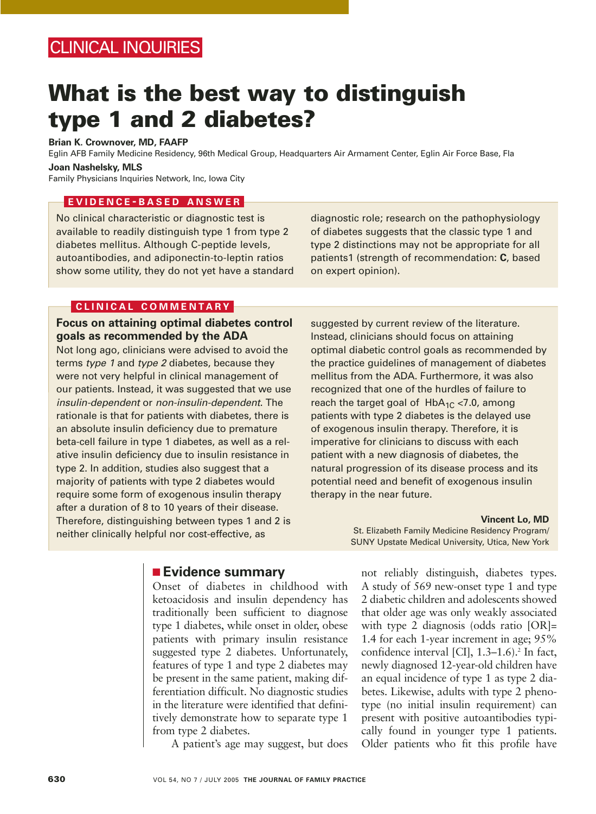# **What is the best way to distinguish type 1 and 2 diabetes?**

## **Brian K. Crownover, MD, FAAFP**

Eglin AFB Family Medicine Residency, 96th Medical Group, Headquarters Air Armament Center, Eglin Air Force Base, Fla

## **Joan Nashelsky, MLS**

Family Physicians Inquiries Network, Inc, Iowa City

## **EVIDENCE - BASED ANSWER**

No clinical characteristic or diagnostic test is available to readily distinguish type 1 from type 2 diabetes mellitus. Although C-peptide levels, autoantibodies, and adiponectin-to-leptin ratios show some utility, they do not yet have a standard

diagnostic role; research on the pathophysiology of diabetes suggests that the classic type 1 and type 2 distinctions may not be appropriate for all patients1 (strength of recommendation: **C**, based on expert opinion).

# **CLINICAL COMMENTARY**

## **Focus on attaining optimal diabetes control goals as recommended by the ADA**

Not long ago, clinicians were advised to avoid the terms type 1 and type 2 diabetes, because they were not very helpful in clinical management of our patients. Instead, it was suggested that we use insulin-dependent or non-insulin-dependent. The rationale is that for patients with diabetes, there is an absolute insulin deficiency due to premature beta-cell failure in type 1 diabetes, as well as a relative insulin deficiency due to insulin resistance in type 2. In addition, studies also suggest that a majority of patients with type 2 diabetes would require some form of exogenous insulin therapy after a duration of 8 to 10 years of their disease. Therefore, distinguishing between types 1 and 2 is neither clinically helpful nor cost-effective, as

suggested by current review of the literature. Instead, clinicians should focus on attaining optimal diabetic control goals as recommended by the practice guidelines of management of diabetes mellitus from the ADA. Furthermore, it was also recognized that one of the hurdles of failure to reach the target goal of  $HbA_{1C}$  <7.0, among patients with type 2 diabetes is the delayed use of exogenous insulin therapy. Therefore, it is imperative for clinicians to discuss with each patient with a new diagnosis of diabetes, the natural progression of its disease process and its potential need and benefit of exogenous insulin therapy in the near future.

#### **Vincent Lo, MD**

St. Elizabeth Family Medicine Residency Program/ SUNY Upstate Medical University, Utica, New York

# ■ **Evidence summary**

Onset of diabetes in childhood with ketoacidosis and insulin dependency has traditionally been sufficient to diagnose type 1 diabetes, while onset in older, obese patients with primary insulin resistance suggested type 2 diabetes. Unfortunately, features of type 1 and type 2 diabetes may be present in the same patient, making differentiation difficult. No diagnostic studies in the literature were identified that definitively demonstrate how to separate type 1 from type 2 diabetes.

A patient's age may suggest, but does

not reliably distinguish, diabetes types. A study of 569 new-onset type 1 and type 2 diabetic children and adolescents showed that older age was only weakly associated with type 2 diagnosis (odds ratio [OR]= 1.4 for each 1-year increment in age; 95% confidence interval  $\left[ \text{CI} \right], 1.3-1.6$ . In fact, newly diagnosed 12-year-old children have an equal incidence of type 1 as type 2 diabetes. Likewise, adults with type 2 phenotype (no initial insulin requirement) can present with positive autoantibodies typically found in younger type 1 patients. Older patients who fit this profile have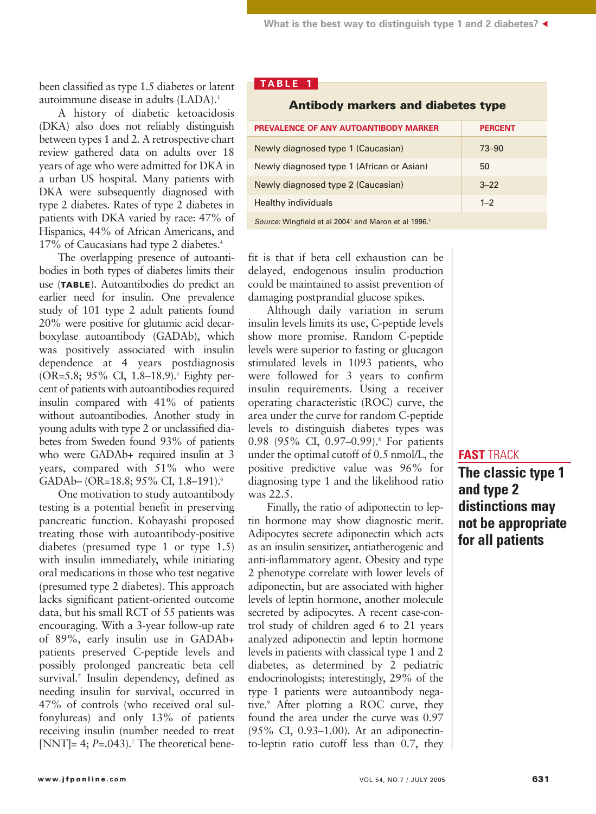been classified as type 1.5 diabetes or latent autoimmune disease in adults (LADA).<sup>3</sup>

A history of diabetic ketoacidosis (DKA) also does not reliably distinguish between types 1 and 2. A retrospective chart review gathered data on adults over 18 years of age who were admitted for DKA in a urban US hospital. Many patients with DKA were subsequently diagnosed with type 2 diabetes. Rates of type 2 diabetes in patients with DKA varied by race: 47% of Hispanics, 44% of African Americans, and 17% of Caucasians had type 2 diabetes.4

The overlapping presence of autoantibodies in both types of diabetes limits their use (**TABLE**). Autoantibodies do predict an earlier need for insulin. One prevalence study of 101 type 2 adult patients found 20% were positive for glutamic acid decarboxylase autoantibody (GADAb), which was positively associated with insulin dependence at 4 years postdiagnosis (OR=5.8; 95% CI, 1.8–18.9).<sup>5</sup> Eighty percent of patients with autoantibodies required insulin compared with 41% of patients without autoantibodies. Another study in young adults with type 2 or unclassified diabetes from Sweden found 93% of patients who were GADAb+ required insulin at 3 years, compared with 51% who were GADAb– (OR=18.8; 95% CI, 1.8–191).<sup>6</sup>

One motivation to study autoantibody testing is a potential benefit in preserving pancreatic function. Kobayashi proposed treating those with autoantibody-positive diabetes (presumed type 1 or type 1.5) with insulin immediately, while initiating oral medications in those who test negative (presumed type 2 diabetes). This approach lacks significant patient-oriented outcome data, but his small RCT of 55 patients was encouraging. With a 3-year follow-up rate of 89%, early insulin use in GADAb+ patients preserved C-peptide levels and possibly prolonged pancreatic beta cell survival.<sup>7</sup> Insulin dependency, defined as needing insulin for survival, occurred in 47% of controls (who received oral sulfonylureas) and only 13% of patients receiving insulin (number needed to treat [NNT]=  $4$ ;  $P=.043$ ).<sup>7</sup> The theoretical bene-

# **TABLE 1**

| <b>Antibody markers and diabetes type</b>                                    |                |
|------------------------------------------------------------------------------|----------------|
| PREVALENCE OF ANY AUTOANTIBODY MARKER                                        | <b>PERCENT</b> |
| Newly diagnosed type 1 (Caucasian)                                           | $73 - 90$      |
| Newly diagnosed type 1 (African or Asian)                                    | 50             |
| Newly diagnosed type 2 (Caucasian)                                           | $3 - 22$       |
| Healthy individuals                                                          | $1 - 2$        |
| Source: Wingfield et al 2004 <sup>1</sup> and Maron et al 1996. <sup>3</sup> |                |

fit is that if beta cell exhaustion can be delayed, endogenous insulin production could be maintained to assist prevention of damaging postprandial glucose spikes.

Although daily variation in serum insulin levels limits its use, C-peptide levels show more promise. Random C-peptide levels were superior to fasting or glucagon stimulated levels in 1093 patients, who were followed for 3 years to confirm insulin requirements. Using a receiver operating characteristic (ROC) curve, the area under the curve for random C-peptide levels to distinguish diabetes types was 0.98 (95% CI, 0.97–0.99).<sup>8</sup> For patients under the optimal cutoff of 0.5 nmol/L, the positive predictive value was 96% for diagnosing type 1 and the likelihood ratio was 22.5.

Finally, the ratio of adiponectin to leptin hormone may show diagnostic merit. Adipocytes secrete adiponectin which acts as an insulin sensitizer, antiatherogenic and anti-inflammatory agent. Obesity and type 2 phenotype correlate with lower levels of adiponectin, but are associated with higher levels of leptin hormone, another molecule secreted by adipocytes. A recent case-control study of children aged 6 to 21 years analyzed adiponectin and leptin hormone levels in patients with classical type 1 and 2 diabetes, as determined by 2 pediatric endocrinologists; interestingly, 29% of the type 1 patients were autoantibody negative.<sup>9</sup> After plotting a ROC curve, they found the area under the curve was 0.97 (95% CI, 0.93–1.00). At an adiponectinto-leptin ratio cutoff less than 0.7, they

# **FAST** TRACK

**The classic type 1 and type 2 distinctions may not be appropriate for all patients**